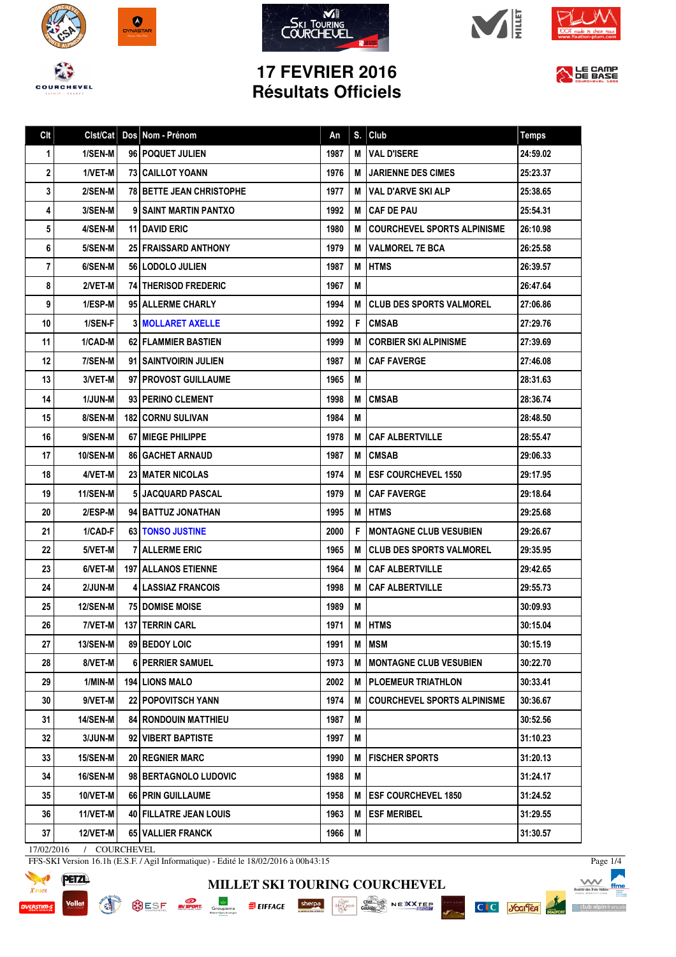









## **17 FEVRIER 2016 Résultats Officiels**



Page 1/4

 $\Lambda$ 

△ club alpin f

C C Josifer

eiste kol

| Clt         | Clst/Cat        | Dos Nom - Prénom                | An   | S. | Club                               | <b>Temps</b> |
|-------------|-----------------|---------------------------------|------|----|------------------------------------|--------------|
| $\mathbf 1$ | 1/SEN-M         | 96 POQUET JULIEN                | 1987 | M  | <b>VAL D'ISERE</b>                 | 24:59.02     |
| 2           | 1/VET-M         | <b>73 CAILLOT YOANN</b>         | 1976 | M  | <b>JARIENNE DES CIMES</b>          | 25:23.37     |
| 3           | 2/SEN-M         | <b>78 BETTE JEAN CHRISTOPHE</b> | 1977 | м  | VAL D'ARVE SKI ALP                 | 25:38.65     |
| 4           | 3/SEN-M         | 9 SAINT MARTIN PANTXO           | 1992 | м  | <b>CAF DE PAU</b>                  | 25:54.31     |
| 5           | 4/SEN-M         | 11   DAVID ERIC                 | 1980 | м  | <b>COURCHEVEL SPORTS ALPINISME</b> | 26:10.98     |
| 6           | 5/SEN-M         | <b>25 FRAISSARD ANTHONY</b>     | 1979 | M  | <b>VALMOREL 7E BCA</b>             | 26:25.58     |
| 7           | 6/SEN-M         | 56 LODOLO JULIEN                | 1987 | м  | <b>HTMS</b>                        | 26:39.57     |
| 8           | 2/VET-M         | <b>74 THERISOD FREDERIC</b>     | 1967 | M  |                                    | 26:47.64     |
| 9           | 1/ESP-M         | 95 ALLERME CHARLY               | 1994 | M  | <b>CLUB DES SPORTS VALMOREL</b>    | 27:06.86     |
| 10          | 1/SEN-F         | <b>3 MOLLARET AXELLE</b>        | 1992 | F  | <b>CMSAB</b>                       | 27:29.76     |
| 11          | 1/CAD-M         | <b>62 FLAMMIER BASTIEN</b>      | 1999 | м  | <b>CORBIER SKI ALPINISME</b>       | 27:39.69     |
| 12          | 7/SEN-M         | 91   SAINTVOIRIN JULIEN         | 1987 | M  | <b>CAF FAVERGE</b>                 | 27:46.08     |
| 13          | 3/VET-M         | 97   PROVOST GUILLAUME          | 1965 | м  |                                    | 28:31.63     |
| 14          | <b>1/JUN-M</b>  | 93 PERINO CLEMENT               | 1998 | M  | <b>CMSAB</b>                       | 28:36.74     |
| 15          | 8/SEN-M         | <b>182 CORNU SULIVAN</b>        | 1984 | M  |                                    | 28:48.50     |
| 16          | 9/SEN-M         | <b>67   MIEGE PHILIPPE</b>      | 1978 | м  | <b>CAF ALBERTVILLE</b>             | 28:55.47     |
| 17          | <b>10/SEN-M</b> | <b>86   GACHET ARNAUD</b>       | 1987 | м  | <b>CMSAB</b>                       | 29:06.33     |
| 18          | 4/VET-M         | 23   MATER NICOLAS              | 1974 | м  | <b>ESF COURCHEVEL 1550</b>         | 29:17.95     |
| 19          | 11/SEN-M        | 5 JACQUARD PASCAL               | 1979 | M  | <b>CAF FAVERGE</b>                 | 29:18.64     |
| 20          | 2/ESP-M         | 94 BATTUZ JONATHAN              | 1995 | M  | <b>HTMS</b>                        | 29:25.68     |
| 21          | 1/CAD-F         | 63   TONSO JUSTINE              | 2000 | F  | <b>MONTAGNE CLUB VESUBIEN</b>      | 29:26.67     |
| 22          | 5/VET-M         | <b>7 ALLERME ERIC</b>           | 1965 | м  | <b>CLUB DES SPORTS VALMOREL</b>    | 29:35.95     |
| 23          | 6/VET-M         | <b>197   ALLANOS ETIENNE</b>    | 1964 | M  | <b>CAF ALBERTVILLE</b>             | 29:42.65     |
| 24          | 2/JUN-M         | <b>4 LASSIAZ FRANCOIS</b>       | 1998 | M  | <b>CAF ALBERTVILLE</b>             | 29:55.73     |
| 25          | <b>12/SEN-M</b> | <b>75   DOMISE MOISE</b>        | 1989 | M  |                                    | 30:09.93     |
| 26          | 7/VET-M         | 137 TERRIN CARL                 | 1971 | М  | <b>HTMS</b>                        | 30:15.04     |
| 27          | 13/SEN-M        | 89 BEDOY LOIC                   | 1991 | Μ  | <b>MSM</b>                         | 30:15.19     |
| 28          | 8/VET-M         | <b>6 PERRIER SAMUEL</b>         | 1973 | M  | <b>MONTAGNE CLUB VESUBIEN</b>      | 30:22.70     |
| 29          | 1/MIN-M         | <b>194   LIONS MALO</b>         | 2002 | м  | <b>I PLOEMEUR TRIATHLON</b>        | 30:33.41     |
| 30          | 9/VET-M         | <b>22 POPOVITSCH YANN</b>       | 1974 | M  | <b>COURCHEVEL SPORTS ALPINISME</b> | 30:36.67     |
| 31          | <b>14/SEN-M</b> | <b>84   RONDOUIN MATTHIEU</b>   | 1987 | M  |                                    | 30:52.56     |
| 32          | 3/JUN-M         | 92 VIBERT BAPTISTE              | 1997 | M  |                                    | 31:10.23     |
| 33          | 15/SEN-M        | <b>20   REGNIER MARC</b>        | 1990 | м  | I FISCHER SPORTS                   | 31:20.13     |
| 34          | <b>16/SEN-M</b> | 98 BERTAGNOLO LUDOVIC           | 1988 | M  |                                    | 31:24.17     |
| 35          | $10/VET-M$      | 66   PRIN GUILLAUME             | 1958 | м  | <b>ESF COURCHEVEL 1850</b>         | 31:24.52     |
| 36          | 11/VET-M        | 40 FILLATRE JEAN LOUIS          | 1963 | M  | <b>ESF MERIBEL</b>                 | 31:29.55     |
| 37          | 12/VET-M        | 65   VALLIER FRANCK             | 1966 | M  |                                    | 31:30.57     |

17/02/2016 / COURCHEVEL

FFS-SKI Version 16.1h (E.S.F. / Agil Informatique) - Edité le 18/02/2016 à 00h43:15



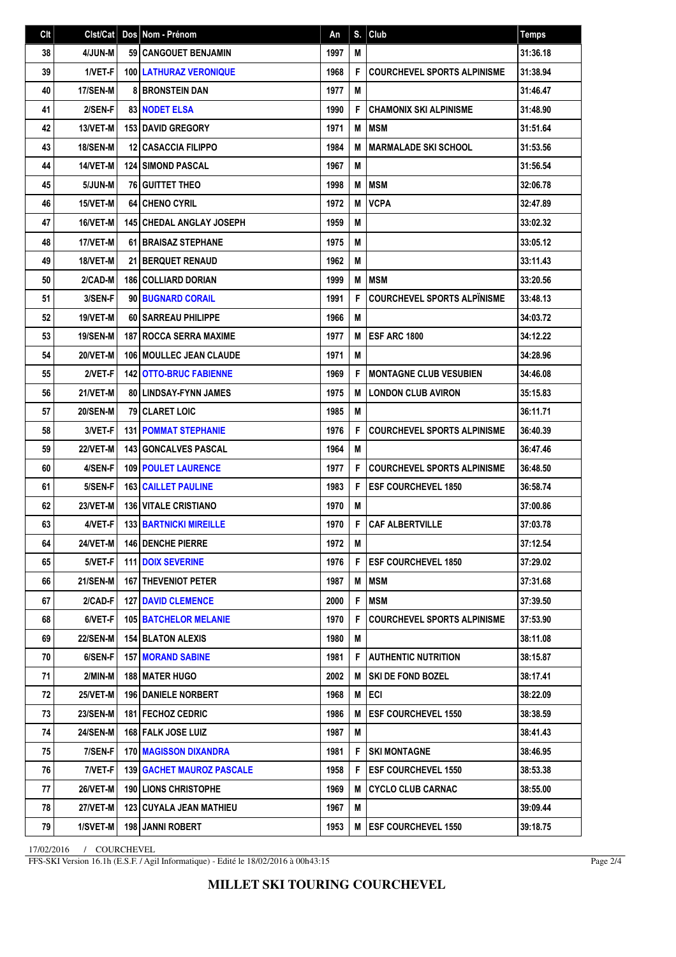| Clt | Clst/Cat        |   | Dos Nom - Prénom                   | An   | S. | Club                               | <b>Temps</b> |
|-----|-----------------|---|------------------------------------|------|----|------------------------------------|--------------|
| 38  | 4/JUN-M         |   | 59 CANGOUET BENJAMIN               | 1997 | M  |                                    | 31:36.18     |
| 39  | 1/VET-F         |   | <b>100   LATHURAZ VERONIQUE</b>    | 1968 | F  | <b>COURCHEVEL SPORTS ALPINISME</b> | 31:38.94     |
| 40  | 17/SEN-M        | 8 | <b>BRONSTEIN DAN</b>               | 1977 | M  |                                    | 31:46.47     |
| 41  | 2/SEN-F         |   | 83 NODET ELSA                      | 1990 | F  | <b>CHAMONIX SKI ALPINISME</b>      | 31:48.90     |
| 42  | 13/VET-M        |   | 153 DAVID GREGORY                  | 1971 | M  | <b>MSM</b>                         | 31:51.64     |
| 43  | <b>18/SEN-M</b> |   | <b>12 CASACCIA FILIPPO</b>         | 1984 | M  | <b>MARMALADE SKI SCHOOL</b>        | 31:53.56     |
| 44  | 14/VET-M        |   | <b>124 SIMOND PASCAL</b>           | 1967 | M  |                                    | 31:56.54     |
| 45  | 5/JUN-M         |   | <b>76 GUITTET THEO</b>             | 1998 | M  | <b>MSM</b>                         | 32:06.78     |
| 46  | 15/VET-M        |   | <b>64 CHENO CYRIL</b>              | 1972 | M  | <b>VCPA</b>                        | 32:47.89     |
| 47  | 16/VET-M        |   | <b>145   CHEDAL ANGLAY JOSEPH</b>  | 1959 | M  |                                    | 33:02.32     |
| 48  | 17/VET-M        |   | <b>61 BRAISAZ STEPHANE</b>         | 1975 | M  |                                    | 33:05.12     |
| 49  | 18/VET-M        |   | <b>21 BERQUET RENAUD</b>           | 1962 | M  |                                    | 33:11.43     |
| 50  | 2/CAD-M         |   | <b>186 COLLIARD DORIAN</b>         | 1999 | M  | <b>MSM</b>                         | 33:20.56     |
| 51  | 3/SEN-F         |   | 90 BUGNARD CORAIL                  | 1991 | F  | <b>COURCHEVEL SPORTS ALPINISME</b> | 33:48.13     |
| 52  | 19/VET-M        |   | <b>60   SARREAU PHILIPPE</b>       | 1966 | M  |                                    | 34:03.72     |
| 53  | <b>19/SEN-M</b> |   | <b>187 I ROCCA SERRA MAXIME</b>    | 1977 | M  | <b>ESF ARC 1800</b>                | 34:12.22     |
| 54  | 20/VET-M        |   | 106   MOULLEC JEAN CLAUDE          | 1971 | M  |                                    | 34:28.96     |
| 55  | 2/VET-F         |   | <b>142 OTTO-BRUC FABIENNE</b>      | 1969 | F  | <b>MONTAGNE CLUB VESUBIEN</b>      | 34:46.08     |
| 56  | 21/VET-M        |   | 80   LINDSAY-FYNN JAMES            | 1975 | M  | <b>LONDON CLUB AVIRON</b>          | 35:15.83     |
| 57  | <b>20/SEN-M</b> |   | <b>79 CLARET LOIC</b>              | 1985 | M  |                                    | 36:11.71     |
| 58  | 3/VET-F         |   | <b>131   POMMAT STEPHANIE</b>      | 1976 | F  | <b>COURCHEVEL SPORTS ALPINISME</b> | 36:40.39     |
| 59  | <b>22/VET-M</b> |   | <b>143 GONCALVES PASCAL</b>        | 1964 | M  |                                    | 36:47.46     |
| 60  | 4/SEN-F         |   | <b>109 POULET LAURENCE</b>         | 1977 | F  | <b>COURCHEVEL SPORTS ALPINISME</b> | 36:48.50     |
| 61  | 5/SEN-F         |   | <b>163   CAILLET PAULINE</b>       | 1983 | F  | <b>ESF COURCHEVEL 1850</b>         | 36:58.74     |
| 62  | 23/VET-M        |   | <b>136 VITALE CRISTIANO</b>        | 1970 | M  |                                    | 37:00.86     |
| 63  | 4/VET-F         |   | 133 BARTNICKI MIREILLE             | 1970 | F  | <b>CAF ALBERTVILLE</b>             | 37:03.78     |
| 64  | 24/VET-M        |   | <b>146 DENCHE PIERRE</b>           | 1972 | M  |                                    | 37:12.54     |
| 65  | 5/VET-F         |   | <b>111 DOIX SEVERINE</b>           | 1976 | F  | <b>ESF COURCHEVEL 1850</b>         | 37:29.02     |
| 66  | 21/SEN-M        |   | <b>167 THEVENIOT PETER</b>         | 1987 | M  | <b>MSM</b>                         | 37:31.68     |
| 67  | 2/CAD-F         |   | <b>127 I DAVID CLEMENCE</b>        | 2000 | F  | <b>MSM</b>                         | 37:39.50     |
| 68  | 6/VET-F         |   | <b>105 BATCHELOR MELANIE</b>       | 1970 | F  | <b>COURCHEVEL SPORTS ALPINISME</b> | 37:53.90     |
| 69  | <b>22/SEN-M</b> |   | <b>154 BLATON ALEXIS</b>           | 1980 | M  |                                    | 38:11.08     |
| 70  | 6/SEN-F         |   | <b>157   MORAND SABINE</b>         | 1981 | F  | <b>AUTHENTIC NUTRITION</b>         | 38:15.87     |
| 71  | 2/MIN-M         |   | <b>188 I MATER HUGO</b>            | 2002 | M  | <b>SKI DE FOND BOZEL</b>           | 38:17.41     |
| 72  | 25/VET-M        |   | <b>196   DANIELE NORBERT</b>       | 1968 | M  | I ECI                              | 38:22.09     |
| 73  | <b>23/SEN-M</b> |   | <b>181   FECHOZ CEDRIC</b>         | 1986 | M  | <b>ESF COURCHEVEL 1550</b>         | 38:38.59     |
| 74  | <b>24/SEN-M</b> |   | 168 FALK JOSE LUIZ                 | 1987 | M  |                                    | 38:41.43     |
| 75  | 7/SEN-F         |   | <b>170   MAGISSON DIXANDRA</b>     | 1981 | F  | <b>SKI MONTAGNE</b>                | 38:46.95     |
| 76  | 7/VET-F         |   | <b>139   GACHET MAUROZ PASCALE</b> | 1958 | F  | <b>ESF COURCHEVEL 1550</b>         | 38:53.38     |
| 77  | 26/VET-M        |   | <b>190 LIONS CHRISTOPHE</b>        | 1969 | M  | CYCLO CLUB CARNAC                  | 38:55.00     |
| 78  | <b>27/VET-M</b> |   | 123   CUYALA JEAN MATHIEU          | 1967 | Μ  |                                    | 39:09.44     |
| 79  | 1/SVET-M        |   | 198 JANNI ROBERT                   | 1953 | M  | <b>ESF COURCHEVEL 1550</b>         | 39:18.75     |

17/02/2016 / COURCHEVEL

FFS-SKI Version 16.1h (E.S.F. / Agil Informatique) - Edité le 18/02/2016 à 00h43:15

Page 2/4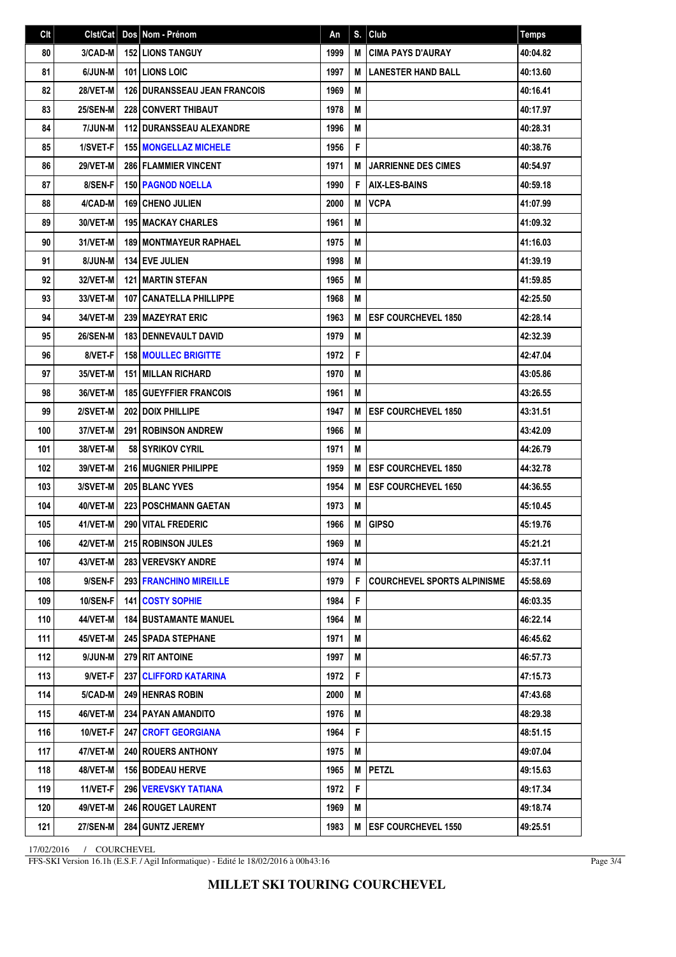| C <sub>It</sub> | Clst/Cat        | Dos Nom - Prénom                    | An   |   | $S.$ Club                          | <b>Temps</b> |
|-----------------|-----------------|-------------------------------------|------|---|------------------------------------|--------------|
| 80              | 3/CAD-M         | <b>152 LIONS TANGUY</b>             | 1999 | M | <b>CIMA PAYS D'AURAY</b>           | 40:04.82     |
| 81              | 6/JUN-M         | <b>101 LIONS LOIC</b>               | 1997 | M | <b>LANESTER HAND BALL</b>          | 40:13.60     |
| 82              | 28/VET-M        | <b>126 DURANSSEAU JEAN FRANCOIS</b> | 1969 | M |                                    | 40:16.41     |
| 83              | <b>25/SEN-M</b> | <b>228 CONVERT THIBAUT</b>          | 1978 | M |                                    | 40:17.97     |
| 84              | 7/JUN-M         | <b>112 DURANSSEAU ALEXANDRE</b>     | 1996 | M |                                    | 40:28.31     |
| 85              | 1/SVET-F        | <b>155 MONGELLAZ MICHELE</b>        | 1956 | F |                                    | 40:38.76     |
| 86              | 29/VET-M        | <b>286 FLAMMIER VINCENT</b>         | 1971 | M | <b>JARRIENNE DES CIMES</b>         | 40:54.97     |
| 87              | 8/SEN-F         | <b>150   PAGNOD NOELLA</b>          | 1990 | F | <b>AIX-LES-BAINS</b>               | 40:59.18     |
| 88              | 4/CAD-M         | <b>169 CHENO JULIEN</b>             | 2000 | M | <b>VCPA</b>                        | 41:07.99     |
| 89              | 30/VET-M        | <b>195   MACKAY CHARLES</b>         | 1961 | M |                                    | 41:09.32     |
| 90              | 31/VET-M        | <b>189   MONTMAYEUR RAPHAEL</b>     | 1975 | M |                                    | 41:16.03     |
| 91              | 8/JUN-M         | <b>134 EVE JULIEN</b>               | 1998 | M |                                    | 41:39.19     |
| 92              | 32/VET-M        | <b>121 MARTIN STEFAN</b>            | 1965 | M |                                    | 41:59.85     |
| 93              | 33/VET-M        | 107 CANATELLA PHILLIPPE             | 1968 | M |                                    | 42:25.50     |
| 94              | 34/VET-M        | 239 MAZEYRAT ERIC                   | 1963 | M | <b>ESF COURCHEVEL 1850</b>         | 42:28.14     |
| 95              | <b>26/SEN-M</b> | <b>183 I DENNEVAULT DAVID</b>       | 1979 | M |                                    | 42:32.39     |
| 96              | 8/VET-F         | <b>158 MOULLEC BRIGITTE</b>         | 1972 | F |                                    | 42:47.04     |
| 97              | 35/VET-M        | <b>151 MILLAN RICHARD</b>           | 1970 | M |                                    | 43:05.86     |
| 98              | 36/VET-M        | <b>185 GUEYFFIER FRANCOIS</b>       | 1961 | M |                                    | 43:26.55     |
| 99              | 2/SVET-M        | <b>202 DOIX PHILLIPE</b>            | 1947 | M | <b>ESF COURCHEVEL 1850</b>         | 43:31.51     |
| 100             | 37/VET-M        | <b>291 ROBINSON ANDREW</b>          | 1966 | M |                                    | 43:42.09     |
| 101             | 38/VET-M        | 58 SYRIKOV CYRIL                    | 1971 | M |                                    | 44:26.79     |
| 102             | 39/VET-M        | <b>216 MUGNIER PHILIPPE</b>         | 1959 | M | <b>ESF COURCHEVEL 1850</b>         | 44:32.78     |
| 103             | 3/SVET-M        | 205 BLANC YVES                      | 1954 | M | <b>ESF COURCHEVEL 1650</b>         | 44:36.55     |
| 104             | 40/VET-M        | <b>223 POSCHMANN GAETAN</b>         | 1973 | M |                                    | 45:10.45     |
| 105             | 41/VET-M        | 290 VITAL FREDERIC                  | 1966 | M | <b>GIPSO</b>                       | 45:19.76     |
| 106             | 42/VET-M        | 215 ROBINSON JULES                  | 1969 | M |                                    | 45:21.21     |
| 107             | 43/VET-M        | 283 VEREVSKY ANDRE                  | 1974 | М |                                    | 45:37.11     |
| 108             | 9/SEN-F         | <b>293 FRANCHINO MIREILLE</b>       | 1979 | F | <b>COURCHEVEL SPORTS ALPINISME</b> | 45:58.69     |
| 109             | <b>10/SEN-F</b> | 141 COSTY SOPHIE                    | 1984 | F |                                    | 46:03.35     |
| 110             | 44/VET-M        | <b>184 BUSTAMANTE MANUEL</b>        | 1964 | M |                                    | 46:22.14     |
| 111             | <b>45/VET-M</b> | <b>245 SPADA STEPHANE</b>           | 1971 | M |                                    | 46:45.62     |
| 112             | 9/JUN-M         | 279 RIT ANTOINE                     | 1997 | M |                                    | 46:57.73     |
| 113             | 9/VET-F         | 237 CLIFFORD KATARINA               | 1972 | F |                                    | 47:15.73     |
| 114             | 5/CAD-M         | 249 HENRAS ROBIN                    | 2000 | M |                                    | 47:43.68     |
| 115             | 46/VET-M        | 234   PAYAN AMANDITO                | 1976 | M |                                    | 48:29.38     |
| 116             | 10/VET-F        | <b>247 CROFT GEORGIANA</b>          | 1964 | F |                                    | 48:51.15     |
| 117             | 47/VET-M        | 240 ROUERS ANTHONY                  | 1975 | M |                                    | 49:07.04     |
| 118             | 48/VET-M        | 156 BODEAU HERVE                    | 1965 | M | <b>PETZL</b>                       | 49:15.63     |
| 119             | 11/VET-F        | 296 VEREVSKY TATIANA                | 1972 | F |                                    | 49:17.34     |
| 120             | 49/VET-M        | 246 ROUGET LAURENT                  | 1969 | M |                                    | 49:18.74     |
| 121             | 27/SEN-M        | 284 GUNTZ JEREMY                    | 1983 | M | <b>ESF COURCHEVEL 1550</b>         | 49:25.51     |

17/02/2016 / COURCHEVEL

FFS-SKI Version 16.1h (E.S.F. / Agil Informatique) - Edité le 18/02/2016 à 00h43:16

Page 3/4